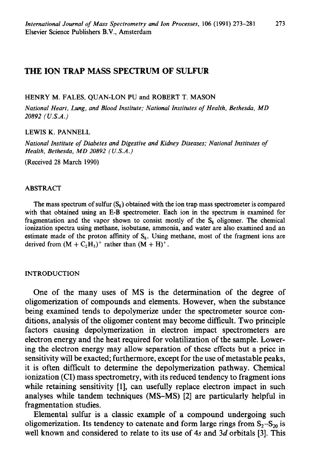# **THE ION TRAP MASS SPECTRUM OF SULFUR**

#### HENRY M. FALES, QUAN-LON PU and ROBERT T. MASON

*National Heart, Lung, and Blood Institute; National Institutes of Health, Bethesda, MD 20892 (U.S.A.)* 

# LEWIS K. PANNELL

*National Institute of Diabetes and Digestive and Kidney Diseases; National Institutes of Health, Bethesda, MD 20892 (U.S.A.)* 

(Received 28 March 1990)

#### ABSTRACT

The mass spectrum of sulfur  $(S_8)$  obtained with the ion trap mass spectrometer is compared with that obtained using an E-B spectrometer. Each ion in the spectrum is examined for fragmentation and the vapor shown to consist mostly of the  $S_8$  oligomer. The chemical ionization spectra using methane, isobutane, ammonia, and water are also examined and an estimate made of the proton affinity of  $S_8$ . Using methane, most of the fragment ions are derived from  $(M + C<sub>2</sub>H<sub>3</sub>)<sup>+</sup>$  rather than  $(M + H)<sup>+</sup>$ .

### INTRODUCTION

One of the many uses of MS is the determination of the degree of oligomerization of compounds and elements. However, when the substance being examined tends to depolymerize under the spectrometer source conditions, analysis of the oligomer content may become difficult. Two principle factors causing depolymerization in electron impact spectrometers are electron energy and the heat required for volatilization of the sample. Lowering the electron energy may allow separation of these effects but a price in sensitivity will be exacted; furthermore, except for the use of metastable peaks, it is often difficult to determine the depolymerization pathway. Chemical ionization (CI) mass spectrometry, with its reduced tendency to fragment ions while retaining sensitivity [1], can usefully replace electron impact in such analyses while tandem techniques (MS-MS) [2] are particularly helpful in fragmentation studies.

Elemental sulfur is a classic example of a compound undergoing such oligomerization. Its tendency to catenate and form large rings from  $S_2-S_{20}$  is well known and considered to relate to its use of 4s and 3d orbitals [3]. This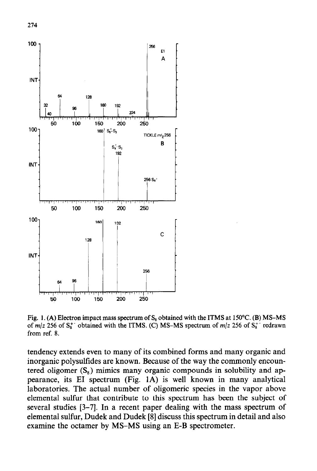

Fig. 1. (A) Electron impact mass spectrum of  $S_8$  obtained with the ITMS at 150°C. (B) MS-MS of  $m/z$  256 of  $S_8^+$  obtained with the ITMS. (C) MS-MS spectrum of  $m/z$  256 of  $S_8^+$  redrawn from ref. 8.

tendency extends even to many of its combined forms and many organic and inorganic polysulfides are known. Because of the way the commonly encountered oligomer  $(S_8)$  mimics many organic compounds in solubility and appearance, its EI spectrum (Fig. 1A) is well known in many analytical laboratories. The actual number of oligomeric species in the vapor above elemental sulfur that contribute to this spectrum has been the subject of several studies [3-71. In a recent paper dealing with the mass spectrum of elemental sulfur, Dudek and Dudek [8] discuss this spectrum in detail and also examine the octamer by MS-MS using an E-B spectrometer.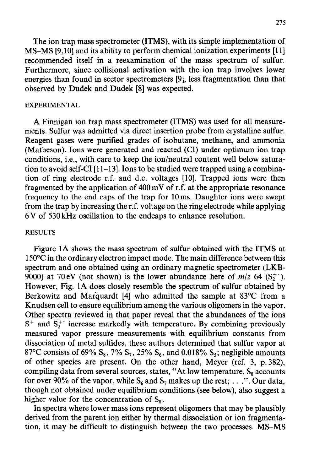The ion trap mass spectrometer (ITMS), with its simple implementation of MS-MS [9,10] and its ability to perform chemical ionization experiments [11] recommended itself in a reexamination of the mass spectrum of sulfur. Furthermore, since collisional activation with the ion trap involves lower energies than found in sector spectrometers [9], less fragmentation than that observed by Dudek and Dudek [8] was expected.

## EXPERIMENTAL

A Finnigan ion trap mass spectrometer (ITMS) was used for all measurements. Sulfur was admitted via direct insertion probe from crystalline sulfur. Reagent gases were purified grades of isobutane, methane, and ammonia (Matheson). Ions were generated and reacted (CI) under optimum ion trap conditions, i.e., with care to keep the ion/neutral content well below saturation to avoid self-CI  $[11-13]$ . Ions to be studied were trapped using a combination of ring electrode r.f. and d.c. voltages [lo]. Trapped ions were then fragmented by the application of 400 mV of r.f. at the appropriate resonance frequency to the end caps of the trap for 1Oms. Daughter ions were swept from the trap by increasing the r.f. voltage on the ring electrode while applying 6 V of 530 kHz oscillation to the endcaps to enhance resolution.

# RESULTS

Figure 1A shows the mass spectrum of sulfur obtained with the ITMS at 150°C in the ordinary electron impact mode. The main difference between this spectrum and one obtained using an ordinary magnetic spectrometer (LKB-9000) at 70 eV (not shown) is the lower abundance here of  $m/z$  64 (S<sub>7</sub><sup>+</sup>). However, Fig. 1A does closely resemble the spectrum of sulfur obtained by Berkowitz and Marquardt [4] who admitted the sample at 83°C from a Knudsen cell to ensure equilibrium among the various oligomers in the vapor. Other spectra reviewed in that paper reveal that the abundances of the ions  $S^+$  and  $S_2^+$  increase markedly with temperature. By combining previously measured vapor pressure measurements with equilibrium constants from dissociation of metal sulfides, these authors determined that sulfur vapor at 87°C consists of 69% S<sub>8</sub>, 7% S<sub>7</sub>, 25% S<sub>6</sub>, and 0.018% S<sub>5</sub>; negligible amounts of other species are present. On the other hand, Meyer (ref. 3, p. 382), compiling data from several sources, states, "At low temperature,  $S_8$  accounts for over 90% of the vapor, while  $S_6$  and  $S_7$  makes up the rest; . . .". Our data, though not obtained under equilibrium conditions (see below), also suggest a higher value for the concentration of  $S_8$ .

In spectra where lower mass ions represent oligomers that may be plausibly derived from the parent ion either by thermal dissociation or ion fragmentation, it may be difficult to distinguish between the two processes. MS-MS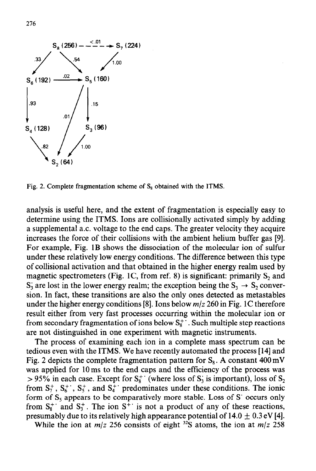

Fig. 2. Complete fragmentation scheme of  $S_8$  obtained with the ITMS.

analysis is useful here, and the extent of fragmentation is especially easy to determine using the ITMS. Ions are collisionally activated simply by adding a supplemental a.c. voltage to the end caps. The greater velocity they acquire increases the force of their collisions with the ambient helium buffer gas [9]. For example, Fig. 1B shows the dissociation of the molecular ion of sulfur under these relatively low energy conditions. The difference between this type of collisional activation and that obtained in the higher energy realm used by magnetic spectrometers (Fig. 1C, from ref. 8) is significant: primarily  $S_2$  and  $S_3$  are lost in the lower energy realm; the exception being the  $S_3 \rightarrow S_2$  conversion. In fact, these transitions are also the only ones detected as metastables under the higher energy conditions [8]. Ions below  $m/z$  260 in Fig. 1C therefore result either from very fast processes occurring within the molecular ion or from secondary fragmentation of ions below  $S_8^+$ . Such multiple step reactions are not distinguished in one experiment with magnetic instruments.

The process of examining each ion in a complete mass spectrum can be tedious even with the ITMS. We have recently automated the process [14] and Fig. 2 depicts the complete fragmentation pattern for  $S_8$ . A constant  $400 \text{ mV}$ was applied for 1Oms to the end caps and the efficiency of the process was  $> 95\%$  in each case. Except for  $S_8^+$  (where loss of  $S_3$  is important), loss of  $S_2$ from  $S_7^+$ ,  $S_6^+$ ,  $S_5^+$ , and  $S_4^+$  predominates under these conditions. The ionic form of  $S_5$  appears to be comparatively more stable. Loss of S' occurs only from  $S_8^+$  and  $S_3^+$ . The ion  $S^+$  is not a product of any of these reactions, presumably due to its relatively high appearance potential of  $14.0 \pm 0.3$  eV [4].

While the ion at  $m/z$  256 consists of eight <sup>32</sup>S atoms, the ion at  $m/z$  258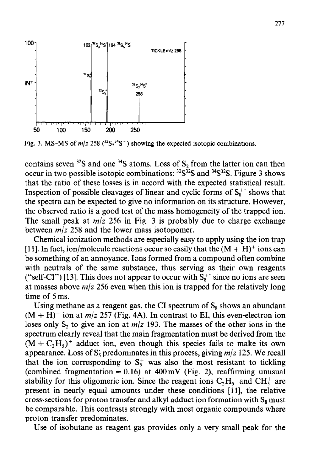

Fig. 3. MS-MS of  $m/z$  258 (<sup>32</sup>S<sub>7</sub><sup>34</sup>S<sup>+</sup>) showing the expected isotopic combinations.

contains seven  $32$ S and one  $34$ S atoms. Loss of S<sub>2</sub> from the latter ion can then occur in two possible isotopic combinations:  $32S^{32}S$  and  $34S^{32}S$ . Figure 3 shows that the ratio of these losses is in accord with the expected statistical result. Inspection of possible cleavages of linear and cyclic forms of  $S_{\kappa}^{+}$  shows that the spectra can be expected to give no information on its structure. However, the observed ratio is a good test of the mass homogeneity of the trapped ion. The small peak at  $m/z$  256 in Fig. 3 is probably due to charge exchange between  $m/z$  258 and the lower mass isotopomer.

Chemical ionization methods are especially easy to apply using the ion trap [11]. In fact, ion/molecule reactions occur so easily that the  $(M + H)^+$  ions can be something of an annoyance. Ions formed from a compound often combine with neutrals of the same substance, thus serving as their own reagents ("self-CI") [13]. This does not appear to occur with  $S_{\rm R}^+$  since no ions are seen at masses above *m/z* 256 even when this ion is trapped for the relatively long time of 5ms.

Using methane as a reagent gas, the CI spectrum of  $S_8$  shows an abundant  $(M + H)^+$  ion at  $m/z$  257 (Fig. 4A). In contrast to EI, this even-electron ion loses only  $S_2$  to give an ion at  $m/z$  193. The masses of the other ions in the spectrum clearly reveal that the main fragmentation must be derived from the  $(M + C<sub>2</sub>H<sub>5</sub>)<sup>+</sup>$  adduct ion, even though this species fails to make its own appearance. Loss of  $S_5$  predominates in this process, giving  $m/z$  125. We recall that the ion corresponding to  $S_5^+$  was also the most resistant to tickling (combined fragmentation =  $0.16$ ) at 400 mV (Fig. 2), reaffirming unusual stability for this oligomeric ion. Since the reagent ions  $C_2H_5^+$  and  $CH_5^+$  are present in nearly equal amounts under these conditions [II], the relative cross-sections for proton transfer and alkyl adduct ion formation with  $S_8$  must be comparable. This contrasts strongly with most organic compounds where proton transfer predominates.

Use of isobutane as reagent gas provides only a very small peak for the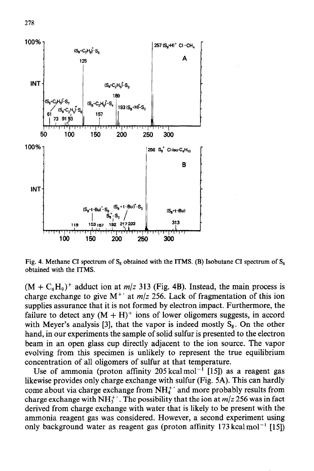

Fig. 4. Methane CI spectrum of  $S_8$  obtained with the ITMS. (B) Isobutane CI spectrum of  $S_8$ obtained with the ITMS.

 $(M + C<sub>4</sub>H<sub>9</sub>)<sup>+</sup>$  adduct ion at *m/z* 313 (Fig. 4B). Instead, the main process is charge exchange to give  $M^+$  at  $m/z$  256. Lack of fragmentation of this ion supplies assurance that it is not formed by electron impact. Furthermore, the failure to detect any  $(M + H)^+$  ions of lower oligomers suggests, in accord with Meyer's analysis [3], that the vapor is indeed mostly  $S_8$ . On the other hand, in our experiments the sample of solid sulfur is presented to the electron beam in an open glass cup directly adjacent to the ion source. The vapor evolving from this specimen is unlikely to represent the true equilibrium concentration of all oligomers of sulfur at that temperature.

Use of ammonia (proton affinity 205 kcal mol<sup>-1</sup> [15]) as a reagent gas likewise provides only charge exchange with sulfur (Fig. 5A). This can hardly come about via charge exchange from  $NH<sub>4</sub><sup>+</sup>$  and more probably results from charge exchange with  $NH_3^+$ . The possibility that the ion at  $m/z$  256 was in fact derived from charge exchange with water that is likely to be present with the ammonia reagent gas was considered. However, a second experiment using only background water as reagent gas (proton affinity  $173 \text{ kcal mol}^{-1}$  [15])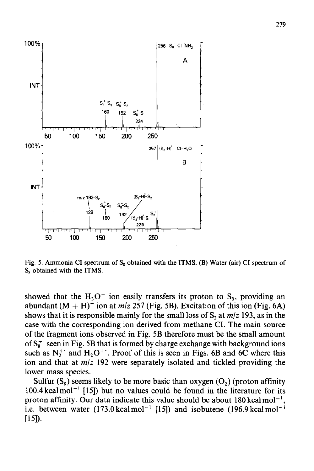

Fig. 5. Ammonia CI spectrum of  $S_8$  obtained with the ITMS. (B) Water (air) CI spectrum of  $S_8$  obtained with the ITMS.

showed that the  $H_3O^+$  ion easily transfers its proton to  $S_8$ , providing an abundant  $(M + H)^+$  ion at  $m/z$  257 (Fig. 5B). Excitation of this ion (Fig. 6A) shows that it is responsible mainly for the small loss of  $S_2$  at  $m/z$  193, as in the case with the corresponding ion derived from methane CI. The main source of the fragment ions observed in Fig. 5B therefore must be the small amount of  $S_8^+$  seen in Fig. 5B that is formed by charge exchange with background ions such as  $N_2^+$  and  $H_2O^+$ . Proof of this is seen in Figs. 6B and 6C where this ion and that at *m/z* 192 were separately isolated and tickled providing the lower mass species.

Sulfur  $(S_8)$  seems likely to be more basic than oxygen  $(O_2)$  (proton affinity  $100.4$  kcal mol<sup>-1</sup> [15]) but no values could be found in the literature for its proton affinity. Our data indicate this value should be about  $180 \text{ kcal mol}^{-1}$ , i.e. between water  $(173.0 \text{ kcal mol}^{-1}$  [15]) and isobutene  $(196.9 \text{ kcal mol}^{-1}$  $[15]$ .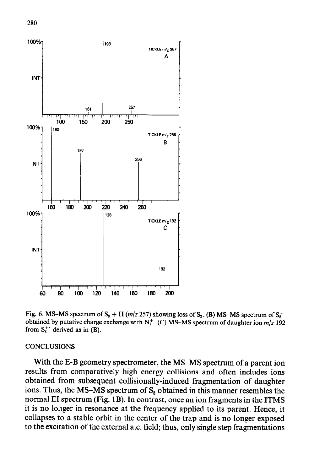

Fig. 6. MS-MS spectrum of  $S_8 + H(m/z 257)$  showing loss of  $S_2$ . (B) MS-MS spectrum of  $S_8^+$ obtained by putative charge exchange with  $N_2^+$ . (C) MS-MS spectrum of daughter ion  $m/z$  192 from  $S_8^+$  derived as in (B).

### **CONCLUSIONS**

With the E-B geometry spectrometer, the MS-MS spectrum of a parent ion results from comparatively high energy collisions and often includes ions obtained from subsequent collisionally-induced fragmentation of daughter ions. Thus, the MS-MS spectrum of  $S_8$  obtained in this manner resembles the normal EI spectrum (Fig. 1B). In contrast, once an ion fragments in the ITMS it is no lo, ager in resonance at the frequency applied to its parent. Hence, it collapses to a stable orbit in the center of the trap and is no longer exposed to the excitation of the external a.c. field; thus, only single step fragmentations